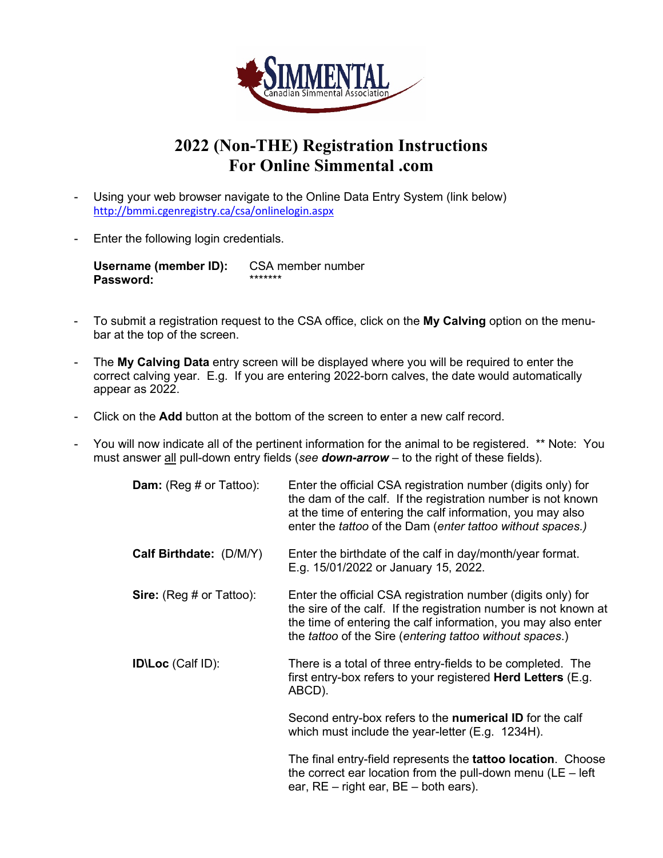

## **2022 (Non-THE) Registration Instructions For Online Simmental .com**

- Using your web browser navigate to the Online Data Entry System (link below) <http://bmmi.cgenregistry.ca/csa/onlinelogin.aspx>
- Enter the following login credentials.

**Username (member ID):** CSA member number Password:

- To submit a registration request to the CSA office, click on the **My Calving** option on the menubar at the top of the screen.
- The **My Calving Data** entry screen will be displayed where you will be required to enter the correct calving year. E.g. If you are entering 2022-born calves, the date would automatically appear as 2022.
- Click on the **Add** button at the bottom of the screen to enter a new calf record.
- You will now indicate all of the pertinent information for the animal to be registered. \*\* Note: You must answer all pull-down entry fields (*see down-arrow* – to the right of these fields).

| <b>Dam:</b> (Reg # or Tattoo):  | Enter the official CSA registration number (digits only) for<br>the dam of the calf. If the registration number is not known<br>at the time of entering the calf information, you may also<br>enter the <i>tattoo</i> of the Dam (enter tattoo without spaces.) |
|---------------------------------|-----------------------------------------------------------------------------------------------------------------------------------------------------------------------------------------------------------------------------------------------------------------|
| Calf Birthdate: (D/M/Y)         | Enter the birthdate of the calf in day/month/year format.<br>E.g. 15/01/2022 or January 15, 2022.                                                                                                                                                               |
| <b>Sire:</b> (Reg # or Tattoo): | Enter the official CSA registration number (digits only) for<br>the sire of the calf. If the registration number is not known at<br>the time of entering the calf information, you may also enter<br>the tattoo of the Sire (entering tattoo without spaces.)   |
| <b>IDILoc</b> (Calf ID):        | There is a total of three entry-fields to be completed. The<br>first entry-box refers to your registered <b>Herd Letters</b> (E.g.<br>ABCD).                                                                                                                    |
|                                 | Second entry-box refers to the <b>numerical ID</b> for the calf<br>which must include the year-letter $(E.g. 1234H)$ .                                                                                                                                          |
|                                 | The final entry-field represents the <b>tattoo location</b> . Choose<br>the correct ear location from the pull-down menu ( $LE$ – left<br>ear, $RE - right$ ear, $BE - both$ ears).                                                                             |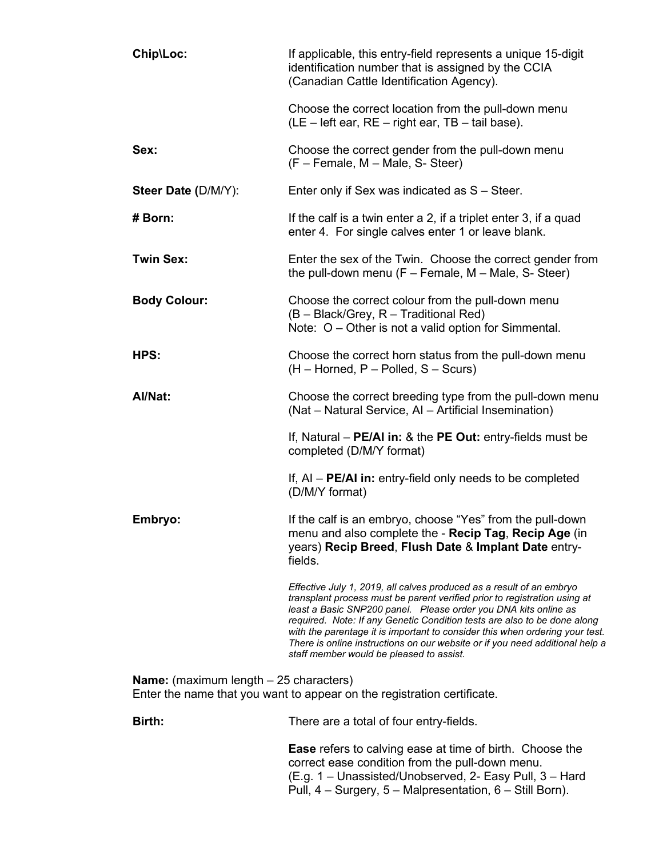| Chip\Loc:                                                                                                                 | If applicable, this entry-field represents a unique 15-digit<br>identification number that is assigned by the CCIA<br>(Canadian Cattle Identification Agency).                                                                                                                                                                                                                                                                                                                                               |
|---------------------------------------------------------------------------------------------------------------------------|--------------------------------------------------------------------------------------------------------------------------------------------------------------------------------------------------------------------------------------------------------------------------------------------------------------------------------------------------------------------------------------------------------------------------------------------------------------------------------------------------------------|
|                                                                                                                           | Choose the correct location from the pull-down menu<br>(LE - left ear, RE - right ear, TB - tail base).                                                                                                                                                                                                                                                                                                                                                                                                      |
| Sex:                                                                                                                      | Choose the correct gender from the pull-down menu<br>(F - Female, M - Male, S- Steer)                                                                                                                                                                                                                                                                                                                                                                                                                        |
| Steer Date (D/M/Y):                                                                                                       | Enter only if Sex was indicated as S - Steer.                                                                                                                                                                                                                                                                                                                                                                                                                                                                |
| # Born:                                                                                                                   | If the calf is a twin enter a 2, if a triplet enter 3, if a quad<br>enter 4. For single calves enter 1 or leave blank.                                                                                                                                                                                                                                                                                                                                                                                       |
| <b>Twin Sex:</b>                                                                                                          | Enter the sex of the Twin. Choose the correct gender from<br>the pull-down menu $(F - Female, M - Male, S - Steer)$                                                                                                                                                                                                                                                                                                                                                                                          |
| <b>Body Colour:</b>                                                                                                       | Choose the correct colour from the pull-down menu<br>(B - Black/Grey, R - Traditional Red)<br>Note: $O -$ Other is not a valid option for Simmental.                                                                                                                                                                                                                                                                                                                                                         |
| HPS:                                                                                                                      | Choose the correct horn status from the pull-down menu<br>$(H -$ Horned, P – Polled, S – Scurs)                                                                                                                                                                                                                                                                                                                                                                                                              |
| Al/Nat:                                                                                                                   | Choose the correct breeding type from the pull-down menu<br>(Nat - Natural Service, AI - Artificial Insemination)                                                                                                                                                                                                                                                                                                                                                                                            |
|                                                                                                                           | If, Natural $-$ PE/AI in: & the PE Out: entry-fields must be<br>completed (D/M/Y format)                                                                                                                                                                                                                                                                                                                                                                                                                     |
|                                                                                                                           | If, $AI - PE/AI$ in: entry-field only needs to be completed<br>(D/M/Y format)                                                                                                                                                                                                                                                                                                                                                                                                                                |
| Embryo:                                                                                                                   | If the calf is an embryo, choose "Yes" from the pull-down<br>menu and also complete the - Recip Tag, Recip Age (in<br>years) Recip Breed, Flush Date & Implant Date entry-<br>fields.                                                                                                                                                                                                                                                                                                                        |
|                                                                                                                           | Effective July 1, 2019, all calves produced as a result of an embryo<br>transplant process must be parent verified prior to registration using at<br>least a Basic SNP200 panel. Please order you DNA kits online as<br>required. Note: If any Genetic Condition tests are also to be done along<br>with the parentage it is important to consider this when ordering your test.<br>There is online instructions on our website or if you need additional help a<br>staff member would be pleased to assist. |
| <b>Name:</b> (maximum length $-25$ characters)<br>Enter the name that you want to appear on the registration certificate. |                                                                                                                                                                                                                                                                                                                                                                                                                                                                                                              |
| Birth:                                                                                                                    | There are a total of four entry-fields.                                                                                                                                                                                                                                                                                                                                                                                                                                                                      |
|                                                                                                                           | <b>Ease</b> refers to calving ease at time of birth. Choose the<br>correct ease condition from the pull-down menu.<br>(E.g. 1 – Unassisted/Unobserved, 2- Easy Pull, 3 – Hard<br>Pull, 4 – Surgery, 5 – Malpresentation, 6 – Still Born).                                                                                                                                                                                                                                                                    |